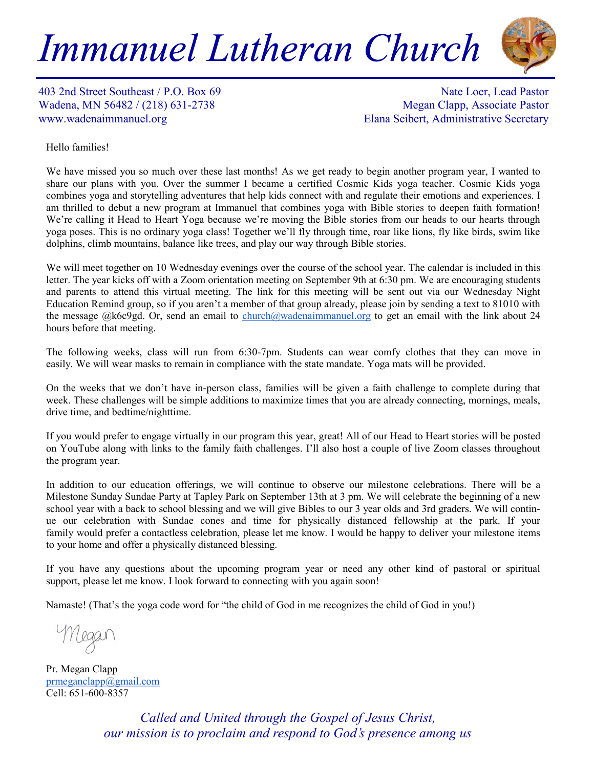## *Immanuel Lutheran Church*



403 2nd Street Southeast / P.O. Box 69 Nate Loer, Lead Pastor Wadena, MN 56482 / (218) 631-2738 Megan Clapp, Associate Pastor www.wadenaimmanuel.org Elana Seibert, Administrative Secretary

## Hello families!

We have missed you so much over these last months! As we get ready to begin another program year, I wanted to share our plans with you. Over the summer I became a certified Cosmic Kids yoga teacher. Cosmic Kids yoga combines yoga and storytelling adventures that help kids connect with and regulate their emotions and experiences. I am thrilled to debut a new program at Immanuel that combines yoga with Bible stories to deepen faith formation! We're calling it Head to Heart Yoga because we're moving the Bible stories from our heads to our hearts through yoga poses. This is no ordinary yoga class! Together we'll fly through time, roar like lions, fly like birds, swim like dolphins, climb mountains, balance like trees, and play our way through Bible stories.

We will meet together on 10 Wednesday evenings over the course of the school year. The calendar is included in this letter. The year kicks off with a Zoom orientation meeting on September 9th at 6:30 pm. We are encouraging students and parents to attend this virtual meeting. The link for this meeting will be sent out via our Wednesday Night Education Remind group, so if you aren't a member of that group already, please join by sending a text to 81010 with the message  $@k6c9gd$ . Or, send an email to church $@wadenaimmanuel.org$  to get an email with the link about 24 hours before that meeting.

The following weeks, class will run from 6:30-7pm. Students can wear comfy clothes that they can move in easily. We will wear masks to remain in compliance with the state mandate. Yoga mats will be provided.

On the weeks that we don't have in-person class, families will be given a faith challenge to complete during that week. These challenges will be simple additions to maximize times that you are already connecting, mornings, meals, drive time, and bedtime/nighttime.

If you would prefer to engage virtually in our program this year, great! All of our Head to Heart stories will be posted on YouTube along with links to the family faith challenges. I'll also host a couple of live Zoom classes throughout the program year.

In addition to our education offerings, we will continue to observe our milestone celebrations. There will be a Milestone Sunday Sundae Party at Tapley Park on September 13th at 3 pm. We will celebrate the beginning of a new school year with a back to school blessing and we will give Bibles to our 3 year olds and 3rd graders. We will continue our celebration with Sundae cones and time for physically distanced fellowship at the park. If your family would prefer a contactless celebration, please let me know. I would be happy to deliver your milestone items to your home and offer a physically distanced blessing.

If you have any questions about the upcoming program year or need any other kind of pastoral or spiritual support, please let me know. I look forward to connecting with you again soon!

Namaste! (That's the yoga code word for "the child of God in me recognizes the child of God in you!)

Megar

Pr. Megan Clapp [prmeganclapp@gmail.com](mailto:prmeganclapp@gmail.com) Cell: 651-600-8357

*Called and United through the Gospel of Jesus Christ, our mission is to proclaim and respond to God's presence among us*